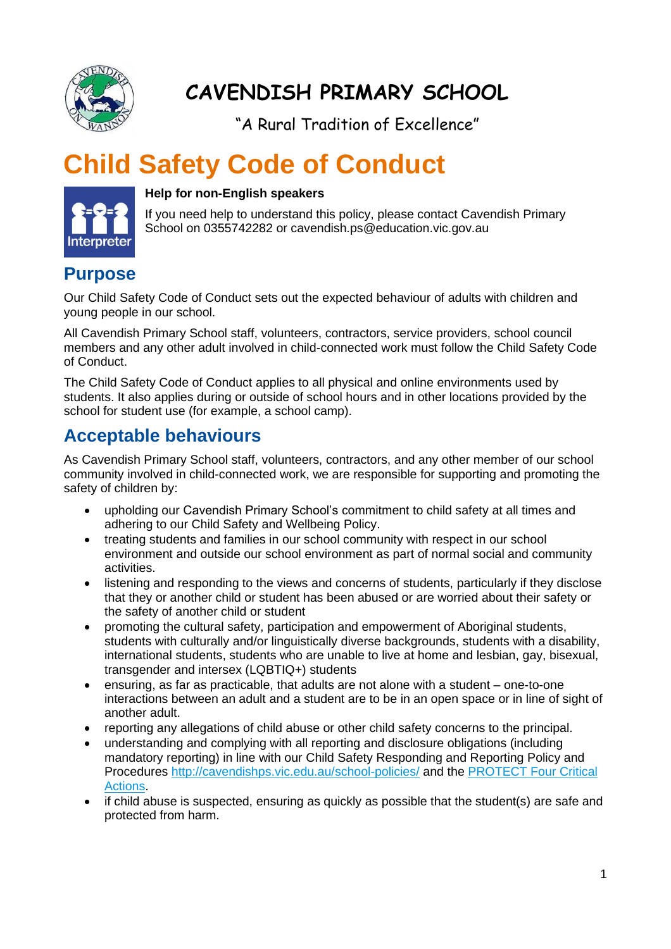

## **CAVENDISH PRIMARY SCHOOL**

"A Rural Tradition of Excellence"

# **Child Safety Code of Conduct**



#### **Help for non-English speakers**

If you need help to understand this policy, please contact Cavendish Primary School on 0355742282 or cavendish.ps@education.vic.gov.au

#### **Purpose**

Our Child Safety Code of Conduct sets out the expected behaviour of adults with children and young people in our school.

All Cavendish Primary School staff, volunteers, contractors, service providers, school council members and any other adult involved in child-connected work must follow the Child Safety Code of Conduct.

The Child Safety Code of Conduct applies to all physical and online environments used by students. It also applies during or outside of school hours and in other locations provided by the school for student use (for example, a school camp).

### **Acceptable behaviours**

As Cavendish Primary School staff, volunteers, contractors, and any other member of our school community involved in child-connected work, we are responsible for supporting and promoting the safety of children by:

- upholding our Cavendish Primary School's commitment to child safety at all times and adhering to our Child Safety and Wellbeing Policy.
- treating students and families in our school community with respect in our school environment and outside our school environment as part of normal social and community activities.
- listening and responding to the views and concerns of students, particularly if they disclose that they or another child or student has been abused or are worried about their safety or the safety of another child or student
- promoting the cultural safety, participation and empowerment of Aboriginal students, students with culturally and/or linguistically diverse backgrounds, students with a disability, international students, students who are unable to live at home and lesbian, gay, bisexual, transgender and intersex (LQBTIQ+) students
- ensuring, as far as practicable, that adults are not alone with a student one-to-one interactions between an adult and a student are to be in an open space or in line of sight of another adult.
- reporting any allegations of child abuse or other child safety concerns to the principal.
- understanding and complying with all reporting and disclosure obligations (including mandatory reporting) in line with our Child Safety Responding and Reporting Policy and Procedures<http://cavendishps.vic.edu.au/school-policies/> and the [PROTECT Four Critical](https://www.education.vic.gov.au/Documents/about/programs/health/protect/FourCriticalActions_ChildAbuse.pdf)  [Actions.](https://www.education.vic.gov.au/Documents/about/programs/health/protect/FourCriticalActions_ChildAbuse.pdf)
- if child abuse is suspected, ensuring as quickly as possible that the student(s) are safe and protected from harm.